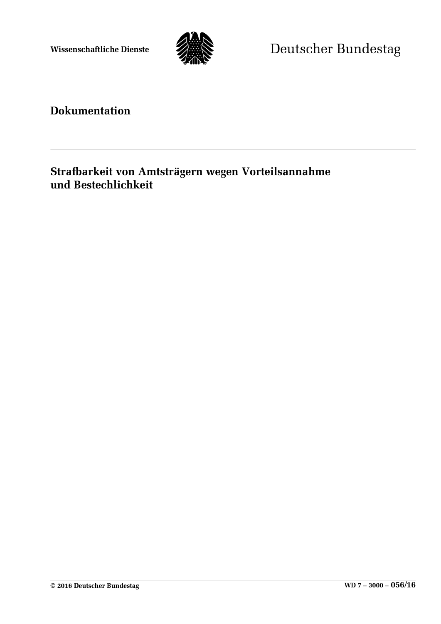

# **Dokumentation**

## **Strafbarkeit von Amtsträgern wegen Vorteilsannahme und Bestechlichkeit**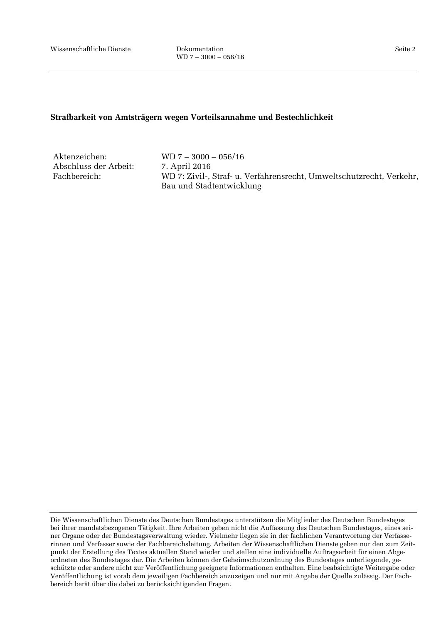## **Strafbarkeit von Amtsträgern wegen Vorteilsannahme und Bestechlichkeit**

Abschluss der Arbeit: 7. April 2016<br>Fachbereich: WD 7: Zivil-.

Aktenzeichen: WD 7 – 3000 – 056/16 WD 7: Zivil-, Straf- u. Verfahrensrecht, Umweltschutzrecht, Verkehr, Bau und Stadtentwicklung

Die Wissenschaftlichen Dienste des Deutschen Bundestages unterstützen die Mitglieder des Deutschen Bundestages bei ihrer mandatsbezogenen Tätigkeit. Ihre Arbeiten geben nicht die Auffassung des Deutschen Bundestages, eines seiner Organe oder der Bundestagsverwaltung wieder. Vielmehr liegen sie in der fachlichen Verantwortung der Verfasserinnen und Verfasser sowie der Fachbereichsleitung. Arbeiten der Wissenschaftlichen Dienste geben nur den zum Zeitpunkt der Erstellung des Textes aktuellen Stand wieder und stellen eine individuelle Auftragsarbeit für einen Abgeordneten des Bundestages dar. Die Arbeiten können der Geheimschutzordnung des Bundestages unterliegende, geschützte oder andere nicht zur Veröffentlichung geeignete Informationen enthalten. Eine beabsichtigte Weitergabe oder Veröffentlichung ist vorab dem jeweiligen Fachbereich anzuzeigen und nur mit Angabe der Quelle zulässig. Der Fachbereich berät über die dabei zu berücksichtigenden Fragen.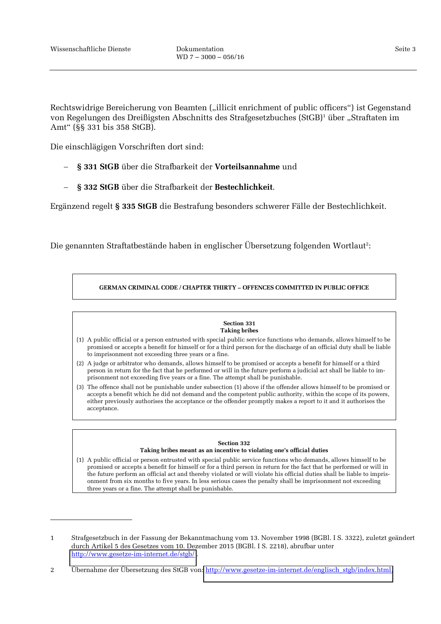-

Seite 3

Rechtswidrige Bereicherung von Beamten ("illicit enrichment of public officers") ist Gegenstand von Regelungen des Dreißigsten Abschnitts des Strafgesetzbuches (StGB)<sup>1</sup> über "Straftaten im Amt" (§§ 331 bis 358 StGB).

Die einschlägigen Vorschriften dort sind:

- **§ 331 StGB** über die Strafbarkeit der **Vorteilsannahme** und
- **§ 332 StGB** über die Strafbarkeit der **Bestechlichkeit**.

Ergänzend regelt **§ 335 StGB** die Bestrafung besonders schwerer Fälle der Bestechlichkeit.

Die genannten Straftatbestände haben in englischer Übersetzung folgenden Wortlaut<sup>2</sup>:

## **GERMAN CRIMINAL CODE / CHAPTER THIRTY – OFFENCES COMMITTED IN PUBLIC OFFICE**

### **Section 331 Taking bribes**

- (1) A public official or a person entrusted with special public service functions who demands, allows himself to be promised or accepts a benefit for himself or for a third person for the discharge of an official duty shall be liable to imprisonment not exceeding three years or a fine.
- (2) A judge or arbitrator who demands, allows himself to be promised or accepts a benefit for himself or a third person in return for the fact that he performed or will in the future perform a judicial act shall be liable to imprisonment not exceeding five years or a fine. The attempt shall be punishable.
- (3) The offence shall not be punishable under subsection (1) above if the offender allows himself to be promised or accepts a benefit which he did not demand and the competent public authority, within the scope of its powers, either previously authorises the acceptance or the offender promptly makes a report to it and it authorises the acceptance.

### **Section 332 Taking bribes meant as an incentive to violating one's official duties**

(1) A public official or person entrusted with special public service functions who demands, allows himself to be promised or accepts a benefit for himself or for a third person in return for the fact that he performed or will in the future perform an official act and thereby violated or will violate his official duties shall be liable to imprisonment from six months to five years. In less serious cases the penalty shall be imprisonment not exceeding three years or a fine. The attempt shall be punishable.

<sup>1</sup> Strafgesetzbuch in der Fassung der Bekanntmachung vom 13. November 1998 (BGBl. I S. 3322), zuletzt geändert durch Artikel 5 des Gesetzes vom 10. Dezember 2015 (BGBl. I S. 2218), abrufbar unter <http://www.gesetze-im-internet.de/stgb/> .

<sup>2</sup> Übernahme der Übersetzung des StGB von: [http://www.gesetze-im-internet.de/englisch\\_stgb/index.html.](http://www.gesetze-im-internet.de/englisch_stgb/index.html)